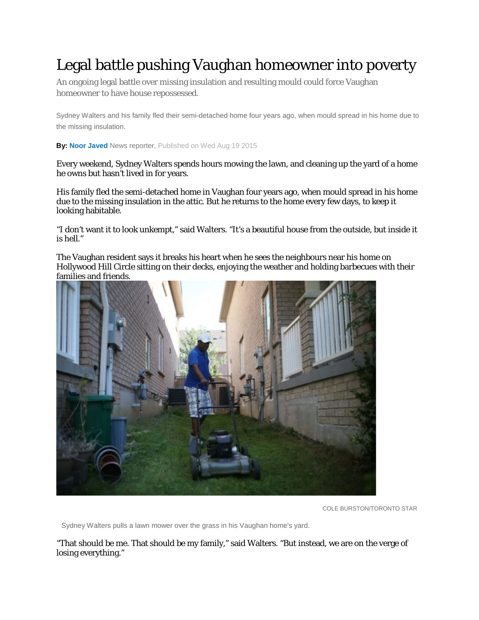## Legal battle pushing Vaughan homeowner into poverty

An ongoing legal battle over missing insulation and resulting mould could force Vaughan homeowner to have house repossessed.

Sydney Walters and his family fled their semi-detached home four years ago, when mould spread in his home due to the missing insulation.

**By: Noor [Javed](http://www.thestar.com/authors.javed_noor.html)** News reporter, Published on Wed Aug 19 2015

Every weekend, Sydney Walters spends hours mowing the lawn, and cleaning up the yard of a home he owns but hasn't lived in for years.

His family fled the semi-detached home in Vaughan four years ago, when mould spread in his home due to the missing insulation in the attic. But he returns to the home every few days, to keep it looking habitable.

"I don't want it to look unkempt," said Walters. "It's a beautiful house from the outside, but inside it is hell."

The Vaughan resident says it breaks his heart when he sees the neighbours near his home on Hollywood Hill Circle sitting on their decks, enjoying the weather and holding barbecues with their families and friends.



COLE BURSTON/TORONTO STAR

Sydney Walters pulls a lawn mower over the grass in his Vaughan home's yard.

"That should be me. That should be my family," said Walters. "But instead, we are on the verge of losing everything."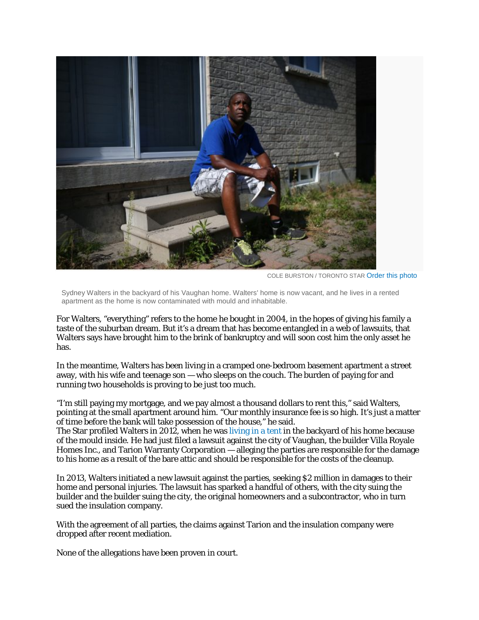

COLE BURSTON / TORONTO STAR Order this photo

Sydney Walters in the backyard of his Vaughan home. Walters' home is now vacant, and he lives in a rented apartment as the home is now contaminated with mould and inhabitable.

For Walters, "everything" refers to the home he bought in 2004, in the hopes of giving his family a taste of the suburban dream. But it's a dream that has become entangled in a web of lawsuits, that Walters says have brought him to the brink of bankruptcy and will soon cost him the only asset he has.

In the meantime, Walters has been living in a cramped one-bedroom basement apartment a street away, with his wife and teenage son — who sleeps on the couch. The burden of paying for and running two households is proving to be just too much.

"I'm still paying my mortgage, and we pay almost a thousand dollars to rent this," said Walters, pointing at the small apartment around him. "Our monthly insurance fee is so high. It's just a matter of time before the bank will take possession of the house," he said.

The Star profiled Walters in 2012, when he was [living](http://www.thestar.com/business/2012/07/12/homeowners_swelter_in_backyard_tent_amid_heated_insulation_dispute.html) in a tent in the backyard of his home because of the mould inside. He had just filed a lawsuit against the city of Vaughan, the builder Villa Royale Homes Inc., and Tarion Warranty Corporation — alleging the parties are responsible for the damage to his home as a result of the bare attic and should be responsible for the costs of the cleanup.

In 2013, Walters initiated a new lawsuit against the parties, seeking \$2 million in damages to their home and personal injuries. The lawsuit has sparked a handful of others, with the city suing the builder and the builder suing the city, the original homeowners and a subcontractor, who in turn sued the insulation company.

With the agreement of all parties, the claims against Tarion and the insulation company were dropped after recent mediation.

None of the allegations have been proven in court.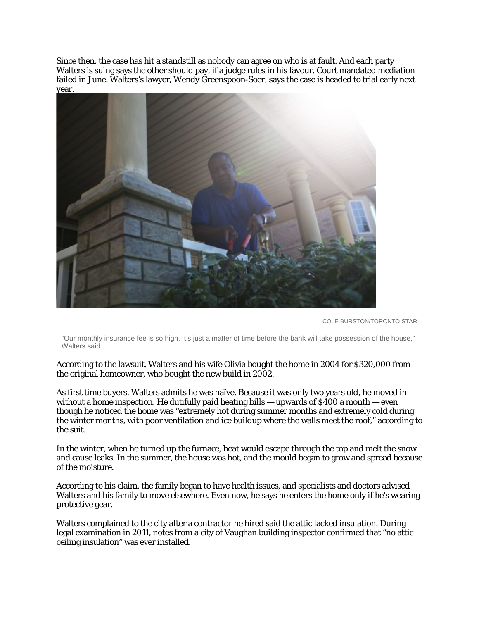Since then, the case has hit a standstill as nobody can agree on who is at fault. And each party Walters is suing says the other should pay, if a judge rules in his favour. Court mandated mediation failed in June. Walters's lawyer, Wendy Greenspoon-Soer, says the case is headed to trial early next year.



COLE BURSTON/TORONTO STAR

"Our monthly insurance fee is so high. It's just a matter of time before the bank will take possession of the house," Walters said.

According to the lawsuit, Walters and his wife Olivia bought the home in 2004 for \$320,000 from the original homeowner, who bought the new build in 2002.

As first time buyers, Walters admits he was naïve. Because it was only two years old, he moved in without a home inspection. He dutifully paid heating bills — upwards of  $\frac{$400}{a}$  month — even though he noticed the home was "extremely hot during summer months and extremely cold during the winter months, with poor ventilation and ice buildup where the walls meet the roof," according to the suit.

In the winter, when he turned up the furnace, heat would escape through the top and melt the snow and cause leaks. In the summer, the house was hot, and the mould began to grow and spread because of the moisture.

According to his claim, the family began to have health issues, and specialists and doctors advised Walters and his family to move elsewhere. Even now, he says he enters the home only if he's wearing protective gear.

Walters complained to the city after a contractor he hired said the attic lacked insulation. During legal examination in 2011, notes from a city of Vaughan building inspector confirmed that "no attic ceiling insulation" was ever installed.